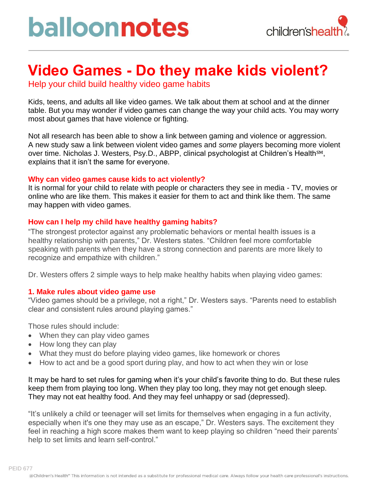## **Video Games - Do they make kids violent?**

Help your child build healthy video game habits

Kids, teens, and adults all like video games. We talk about them at school and at the dinner table. But you may wonder if video games can change the way your child acts. You may worry most about games that have violence or fighting.

Not all research has been able to show a link between gaming and violence or aggression. A new study saw a link between violent video games and *some* players becoming more violent over time. Nicholas J. Westers, Psy.D., ABPP, clinical psychologist at Children's Health<sup>SM</sup>, explains that it isn't the same for everyone.

### **Why can video games cause kids to act violently?**

It is normal for your child to relate with people or characters they see in media - TV, movies or online who are like them. This makes it easier for them to act and think like them. The same may happen with video games.

### **How can I help my child have healthy gaming habits?**

"The strongest protector against any problematic behaviors or mental health issues is a healthy relationship with parents," Dr. Westers states. "Children feel more comfortable speaking with parents when they have a strong connection and parents are more likely to recognize and empathize with children."

Dr. Westers offers 2 simple ways to help make healthy habits when playing video games:

### **1. Make rules about video game use**

"Video games should be a privilege, not a right," Dr. Westers says. "Parents need to establish clear and consistent rules around playing games."

Those rules should include:

- When they can play video games
- How long they can play
- What they must do before playing video games, like homework or chores
- How to act and be a good sport during play, and how to act when they win or lose

It may be hard to set rules for gaming when it's your child's favorite thing to do. But these rules keep them from playing too long. When they play too long, they may not get enough sleep. They may not eat healthy food. And they may feel unhappy or sad (depressed).

"It's unlikely a child or teenager will set limits for themselves when engaging in a fun activity, especially when it's one they may use as an escape," Dr. Westers says. The excitement they feel in reaching a high score makes them want to keep playing so children "need their parents' help to set limits and learn self-control."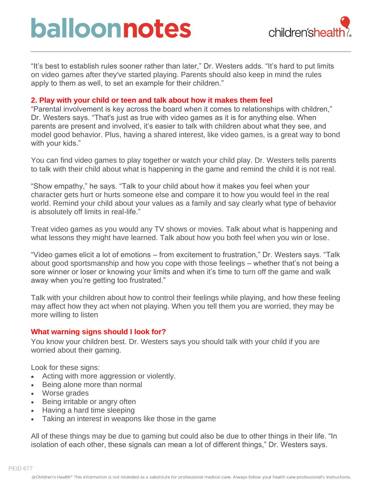# balloonnotes



"It's best to establish rules sooner rather than later," Dr. Westers adds. "It's hard to put limits on video games after they've started playing. Parents should also keep in mind the rules apply to them as well, to set an example for their children."

#### **2. Play with your child or teen and talk about how it makes them feel**

"Parental involvement is key across the board when it comes to relationships with children," Dr. Westers says. "That's just as true with video games as it is for anything else. When parents are present and involved, it's easier to talk with children about what they see, and model good behavior. Plus, having a shared interest, like video games, is a great way to bond with your kids."

You can find video games to play together or watch your child play. Dr. Westers tells parents to talk with their child about what is happening in the game and remind the child it is not real.

"Show empathy," he says. "Talk to your child about how it makes you feel when your character gets hurt or hurts someone else and compare it to how you would feel in the real world. Remind your child about your values as a family and say clearly what type of behavior is absolutely off limits in real-life."

Treat video games as you would any TV shows or movies. Talk about what is happening and what lessons they might have learned. Talk about how you both feel when you win or lose.

"Video games elicit a lot of emotions – from excitement to frustration," Dr. Westers says. "Talk about good sportsmanship and how you cope with those feelings – whether that's not being a sore winner or loser or knowing your limits and when it's time to turn off the game and walk away when you're getting too frustrated."

Talk with your children about how to control their feelings while playing, and how these feeling may affect how they act when not playing. When you tell them you are worried, they may be more willing to listen

#### **What warning signs should I look for?**

You know your children best. Dr. Westers says you should talk with your child if you are worried about their gaming.

Look for these signs:

- Acting with more aggression or violently.
- Being alone more than normal
- Worse grades
- Being irritable or angry often
- Having a hard time sleeping
- Taking an interest in weapons like those in the game

All of these things may be due to gaming but could also be due to other things in their life. "In isolation of each other, these signals can mean a lot of different things," Dr. Westers says.